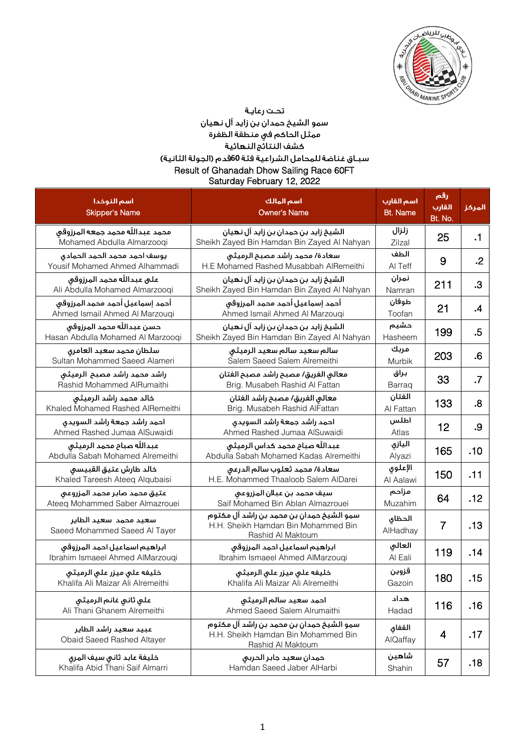

سمو الشيخ حمدان بن زايد آل نهيان ممثل الحاكم في منطقة الظفرة<br>ممثل الحاكم في منطقة الظفرة<br>كشف النتائج النهائية سبـاق غناضة للمحامل الشراعية فئة 60قدم (الجولة الثانية) Result of Ghanadah Dhow Sailing Race 60FT

Saturday February 12, 2022

| اسم النوخدا<br><b>Skipper's Name</b>                              | اسم المالك<br><b>Owner's Name</b>                                                                    | اسم القارب<br><b>Bt. Name</b> | رقم<br><u>القارب</u><br>Bt. No. | المركز    |
|-------------------------------------------------------------------|------------------------------------------------------------------------------------------------------|-------------------------------|---------------------------------|-----------|
| محمد عبدالله محمد جمعه المرزوقي<br>Mohamed Abdulla Almarzoogi     | الشيخ زايد بن حمدان بن زايد آل نهيان<br>Sheikh Zayed Bin Hamdan Bin Zayed Al Nahyan                  | زلزال<br>Zilzal               | 25                              | $\cdot$ 1 |
| يوسف احمد محمد الحمد الحمادى<br>Yousif Mohamed Ahmed Alhammadi    | سعادة/ محمد راشد مصبح الرميثى<br>H.E Mohamed Rashed Musabbah AlRemeithi                              | الطف<br>AI Teff               | 9                               | $\cdot$   |
| على عبداللّه محمد المرزوقي<br>Ali Abdulla Mohamed Almarzooqi      | الشيخ زايد بن حمدان بن زايد آل نهيان<br>Sheikh Zayed Bin Hamdan Bin Zayed Al Nahyan                  | نمران<br>Namran               | 211                             | .3        |
| أحمد إسماعيل أحمد محمد المرزوقي<br>Ahmed Ismail Ahmed Al Marzouqi | أحمد إسماعيل أحمد محمد المرزوقى<br>Ahmed Ismail Ahmed Al Marzouqi                                    | طوفان<br>Toofan               | 21                              | $\cdot$   |
| حسن عبداللّه محمد المرزوقى<br>Hasan Abdulla Mohamed Al Marzooqi   | الشيخ زايد بن حمدان بن زايد آل نهيان<br>Sheikh Zayed Bin Hamdan Bin Zayed Al Nahyan                  | حشيم<br>Hasheem               | 199                             | .5        |
| سلطان محمد سعيد العامرى<br>Sultan Mohammed Saeed Alameri          | سالم سعيد سالم سعيد الرميثى<br>Salem Saeed Salem Alremeithi                                          | مربك<br>Murbik                | 203                             | .6        |
| راشد محمد راشد مصبح الرميثى<br>Rashid Mohammed AlRumaithi         | معالى الفريق/ مصبح راشد مصبح الفتان<br>Brig. Musabeh Rashid Al Fattan                                | براق<br>Barraq                | 33                              | $\cdot$   |
| خالد محمد راشد الرميثى<br>Khaled Mohamed Rashed AlRemeithi        | معالى الفريق/ مصبح راشد الفتان<br>Brig. Musabeh Rashid AlFattan                                      | الفتان<br>Al Fattan           | 133                             | .8        |
| احمد راشد جمعة راشد السويدى<br>Ahmed Rashed Jumaa AlSuwaidi       | احمد راشد جمعة راشد السويدى<br>Ahmed Rashed Jumaa AlSuwaidi                                          | اطلس<br>Atlas                 | 12                              | .9        |
| عبداللّه صباح محمد الرميثي<br>Abdulla Sabah Mohamed Alremeithi    | عبدالله صباح محمد كداس الرميثى<br>Abdulla Sabah Mohamed Kadas Alremeithi                             | اليازى<br>Alyazi              | 165                             | .10       |
| خالد طارش عتيق القبيسى<br>Khaled Tareesh Ateeq Alqubaisi          | سعادة/ محمد ثعلوب سالم الدرعى<br>H.E. Mohammed Thaaloob Salem AlDarei                                | الإعلوى<br>Al Aalawi          | 150                             | .11       |
| عتيق محمد صابر محمد المزروعى<br>Ateeq Mohammed Saber Almazrouei   | سيف محمد بن عبلان المزروعى<br>Saif Mohamed Bin Ablan Almazrouei                                      | مزاحم<br>Muzahim              | 64                              | .12       |
| سعيد محمد سعيد الطاير<br>Saeed Mohammed Saeed Al Tayer            | سمو الشيخ حمدان بن محمد بن راشد آل مكتوم<br>H.H. Sheikh Hamdan Bin Mohammed Bin<br>Rashid Al Maktoum | الحظاى<br>AlHadhay            | $\overline{7}$                  | .13       |
| ابراهيم اسماعيل احمد المرزوقى<br>Ibrahim Ismaeel Ahmed AlMarzouqi | ابراهيم اسماعيل احمد المرزوقى<br>Ibrahim Ismaeel Ahmed AlMarzouqi                                    | العالى<br>Al Eali             | 119                             | .14       |
| خليفه على ميزر على الرميثى<br>Khalifa Ali Maizar Ali Alremeithi   | خليفه على ميزر على الرميثى<br>Khalifa Ali Maizar Ali Alremeithi                                      | قزوين<br>Gazoin               | 180                             | .15       |
| على ثانى غانم الرميثى<br>Ali Thani Ghanem Alremeithi              | احمد سعيد سالم الرميثى<br>Ahmed Saeed Salem Alrumaithi                                               | هداد<br>Hadad                 | 116                             | .16       |
| عبيد سعيد راشد الطاير<br>Obaid Saeed Rashed Altayer               | سمو الشيخ حمدان بن محمد بن راشد آل مكتوم<br>H.H. Sheikh Hamdan Bin Mohammed Bin<br>Rashid Al Maktoum | القفاق<br>AlQaffay            | 4                               | .17       |
| خليفة عابد ثانى سيف المرى<br>Khalifa Abid Thani Saif Almarri      | حمدان سعيد جابر الحربى<br>Hamdan Saeed Jaber AlHarbi                                                 | شاهين<br>Shahin               | 57                              | .18       |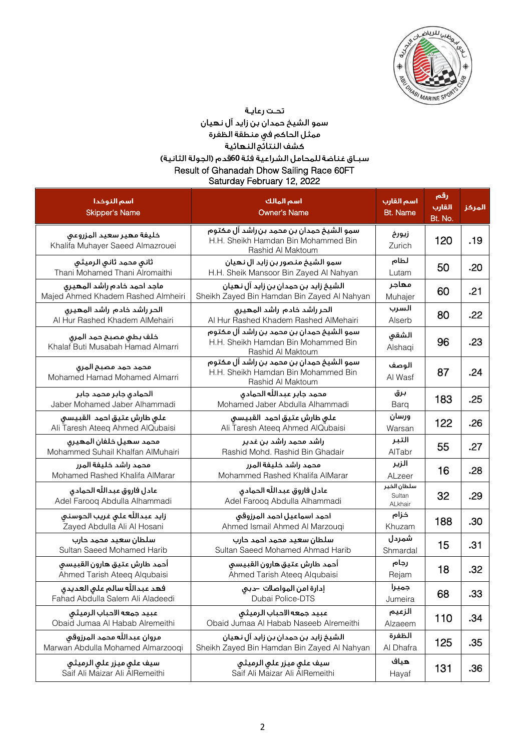

سمو الشيخ حمدان بن زايد آل نهيان<br>ممثل الحاكم في منطقة الظفرة<br>سبــاق غناضة للمشاكية النهائية<br>سبــاق غناضة للمحامل الشراعية فئة 60قدم (الجولة الثانية)

| Result of Ghanadah Dhow Sailing Race 60FT<br>Saturday February 12, 2022 |                                                                                                      |                                  |                          |        |
|-------------------------------------------------------------------------|------------------------------------------------------------------------------------------------------|----------------------------------|--------------------------|--------|
| اسم النوخدا<br><b>Skipper's Name</b>                                    | اسم المالك<br><b>Owner's Name</b>                                                                    | اسم القارب<br><b>Bt. Name</b>    | رقم<br>القارب<br>Bt. No. | المركز |
| خليفة مهير سعيد المزروعى<br>Khalifa Muhayer Saeed Almazrouei            | سمو الشيخ حمدان بن محمد بن راشد آل مكتوم<br>H.H. Sheikh Hamdan Bin Mohammed Bin<br>Rashid Al Maktoum | زيورخ<br>Zurich                  | 120                      | .19    |
| ثانى محمد ثانى الرميثى<br>Thani Mohamed Thani Alromaithi                | سمو الشيخ منصور بن زايد ال نهيان<br>H.H. Sheik Mansoor Bin Zayed Al Nahyan                           | لطام<br>Lutam                    | 50                       | .20    |
| ماجد احمد خادم راشد المهيرى<br>Majed Ahmed Khadem Rashed Almheiri       | الشيخ زايد بن حمدان بن زايد آل نهيان<br>Sheikh Zayed Bin Hamdan Bin Zayed Al Nahyan                  | مهاجر<br>Muhajer                 | 60                       | .21    |
| الحر راشد خادم راشد المهيرى<br>Al Hur Rashed Khadem AlMehairi           | الحر راشد خادم راشد المهيرى<br>Al Hur Rashed Khadem Rashed AlMehairi                                 | السرب<br>Alserb                  | 80                       | .22    |
| خلف بطى مصبح حمد المرى<br>Khalaf Buti Musabah Hamad Almarri             | سمو الشيخ حمدان بن محمد بن راشد آل مكتوم<br>H.H. Sheikh Hamdan Bin Mohammed Bin<br>Rashid Al Maktoum | الشقى<br>Alshaqi                 | 96                       | .23    |
| محمد حمد مصبح المرق<br>Mohamed Hamad Mohamed Almarri                    | سمو الشيخ حمدان بن محمد بن راشد آل مكتوم<br>H.H. Sheikh Hamdan Bin Mohammed Bin<br>Rashid Al Maktoum | الوصف<br>Al Wasf                 | 87                       | .24    |
| الحمادى جابر محمد جابر<br>Jaber Mohamed Jaber Alhammadi                 | محمد جابر عبدالله الحمادي<br>Mohamed Jaber Abdulla Alhammadi                                         | برق<br>Barg                      | 183                      | .25    |
| على طارش عتيق احمد القبيسى<br>Ali Taresh Ateeq Ahmed AlQubaisi          | على طارش عتيق احمد القبيسى<br>Ali Taresh Ateeq Ahmed AlQubaisi                                       | ورسان<br>Warsan                  | 122                      | .26    |
| محمد سهيل خلفان المهيرى<br>Mohammed Suhail Khalfan AlMuhairi            | راشد محمد راشد بن غدير<br>Rashid Mohd. Rashid Bin Ghadair                                            | التبر<br>AlTabr                  | 55                       | .27    |
| محمد راشد خليفة المرر<br>Mohamed Rashed Khalifa AlMarar                 | محمد راشد خليفة المرر<br>Mohammed Rashed Khalifa AlMarar                                             | الزير<br>ALzeer                  | 16                       | .28    |
| عادل فاروق عبدالله الحمادق<br>Adel Farooq Abdulla Alhammadi             | عادل فاروق عبدالله الحمادق<br>Adel Farooq Abdulla Alhammadi                                          | سلطان الخير<br>Sultan<br>ALkhair | 32                       | .29    |
| زايد عبدالله على غريب الحوسنى<br>Zayed Abdulla Ali Al Hosani            | احمد اسماعيل احمد المرزوقى<br>Ahmed Ismail Ahmed Al Marzouqi                                         | خزام<br>Khuzam                   | 188                      | .30    |
| سلطان سعيد محمد حارب<br>Sultan Saeed Mohamed Harib                      | سلطان سعيد محمد احمد حارب<br>Sultan Saeed Mohamed Ahmad Harib                                        | شمردل<br>Shmardal                | 15                       | .31    |
| أحمد طارش عتيق هارون القبيسى<br>Ahmed Tarish Ateeq Alqubaisi            | آحمد طارش عتيق هارون القبيسى<br>Ahmed Tarish Ateeq Alqubaisi                                         | رجام<br>Rejam                    | 18                       | .32    |
| فهد عبدالله سالم على العديدي<br>Fahad Abdulla Salem Ali Aladeedi        | إدارة امن المواصلات -دبى<br>Dubai Police-DTS                                                         | جميرا<br>Jumeira                 | 68                       | .33    |
| عبيد جمعه الاحباب الرميثى<br>Obaid Jumaa Al Habab Alremeithi            | عبيد جمعه الاحباب الرميثى<br>Obaid Jumaa Al Habab Naseeb Alremeithi                                  | الزعيم<br>Alzaeem                | 110                      | .34    |
| مروان عبداللّه محمد المرزوقي<br>Marwan Abdulla Mohamed Almarzooqi       | الشيخ زايد بن حمدان بن زايد آل نهيان<br>Sheikh Zayed Bin Hamdan Bin Zayed Al Nahyan                  | الظفرة<br>Al Dhafra              | 125                      | .35    |
| سيف على ميزر على الرميثى<br>Saif Ali Maizar Ali AlRemeithi              | سيف على ميزر علي الرميثي<br>Saif Ali Maizar Ali AlRemeithi                                           | هياف<br>Hayaf                    | 131                      | .36    |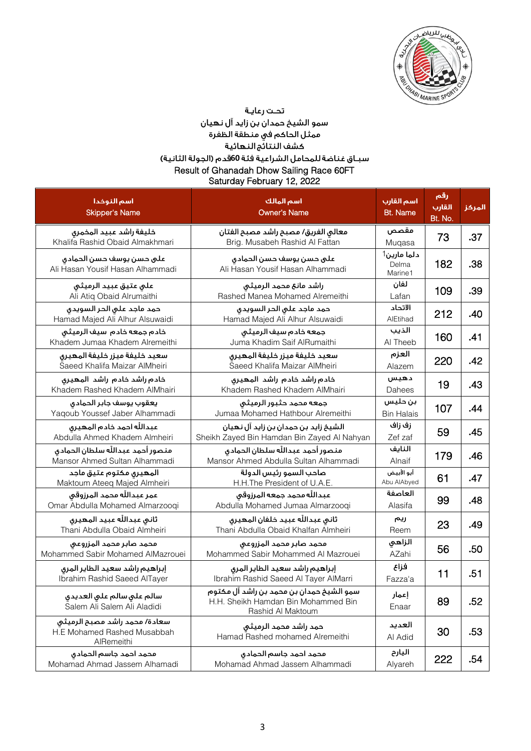

سمو الشيخ حمدان بن زايد آل نهيان ممثل الحاكم في منطقة الظفرة<br>ممثل الحاكم في منطقة الظفرة<br>كشف النتائج النهائية

# سبـاق غناضة للمحامل الشراعية فئة 60قدم (الجولة الثانية)

Result of Ghanadah Dhow Sailing Race 60FT Saturday February 12, 2022

| أسم النوخدا<br><b>Skipper's Name</b>                                       | اسم المالك<br><b>Owner's Name</b>                                                                    | اسم القارب<br><b>Bt. Name</b>   | رقم<br><u>القارب</u><br>Bt. No. | المركز |
|----------------------------------------------------------------------------|------------------------------------------------------------------------------------------------------|---------------------------------|---------------------------------|--------|
| خليفة راشد عبيد المخمرى<br>Khalifa Rashid Obaid Almakhmari                 | معالى الفريق/ مصبح راشد مصبح الفتان<br>Brig. Musabeh Rashid Al Fattan                                | مقصص<br>Muqasa                  | 73                              | .37    |
| على حسن يوسف حسن الحمادى<br>Ali Hasan Yousif Hasan Alhammadi               | على حسن يوسف حسن الحمادى<br>Ali Hasan Yousif Hasan Alhammadi                                         | دلما مارين1<br>Delma<br>Marine1 | 182                             | .38    |
| على عتيق عبيد الرميثى<br>Ali Atiq Obaid Alrumaithi                         | راشد مانع محمد الرميثى<br>Rashed Manea Mohamed Alremeithi                                            | لفان<br>Lafan                   | 109                             | .39    |
| حمد ماجد على الحر السويدى<br>Hamad Majed Ali Alhur Alsuwaidi               | حمد ماجد على الحر السويدى<br>Hamad Majed Ali Alhur Alsuwaidi                                         | الاتحاد<br>AlEtihad             | 212                             | .40    |
| خادم جمعه خادم سيف الرميثى<br>Khadem Jumaa Khadem Alremeithi               | جمعه خادم سيف الرميثى<br>Juma Khadim Saif AlRumaithi                                                 | الذيب<br>Al Theeb               | 160                             | .41    |
| سعيد خليفة ميزر خليفة المهيرى<br>Saeed Khalifa Maizar AlMheiri             | سعيد خليفة ميزر خليفة المهيرى<br>Saeed Khalifa Maizar AlMheiri                                       | العزم<br>Alazem                 | 220                             | .42    |
| خادم راشد خادم راشد المهيرى<br>Khadem Rashed Khadem AlMhairi               | خادم راشد خادم راشد المهيرى<br>Khadem Rashed Khadem AlMhairi                                         | دهيس<br>Dahees                  | 19                              | .43    |
| يعقوب يوسف جابر الحمادى<br>Yaqoub Youssef Jaber Alhammadi                  | جمعه محمد حثبور الرميثى<br>Jumaa Mohamed Hathbour Alremeithi                                         | بن حليس<br><b>Bin Halais</b>    | 107                             | .44    |
| عبدالله احمد خادم المهيرق<br>Abdulla Ahmed Khadem Almheiri                 | الشيخ زايد بن حمدان بن زايد آل نهيان<br>Sheikh Zayed Bin Hamdan Bin Zayed Al Nahyan                  | زف زاف<br>Zef zaf               | 59                              | .45    |
| منصور أحمد عبدالله سلطان الحمادق<br>Mansor Ahmed Sultan Alhammadi          | منصور أحمد عبدالله سلطان الحمادى<br>Mansor Ahmed Abdulla Sultan Alhammadi                            | النايف<br>Alnaif                | 179                             | .46    |
| المهيرى مكتوم عتيق ماجد<br>Maktoum Ateeq Majed Almheiri                    | صاحب السمو رئيس الدولة<br>H.H.The President of U.A.E.                                                | أبو الأبيض<br>Abu AlAbyed       | 61                              | .47    |
| عمر عبداللّه محمد المرزوقي<br>Omar Abdulla Mohamed Almarzooqi              | عبدالله محمد جمعه المرزوقي<br>Abdulla Mohamed Jumaa Almarzooqi                                       | العاصفة<br>Alasifa              | 99                              | .48    |
| ثاني عبدالله عبيد المهيري<br>Thani Abdulla Obaid Almheiri                  | ثانى عبدالله عبيد خلفان المهيرى<br>Thani Abdulla Obaid Khalfan Almheiri                              | ريم<br>Reem                     | 23                              | .49    |
| محمد صابر محمد المزروعى<br>Mohammed Sabir Mohamed AlMazrouei               | محمد صابر محمد المزروعى<br>Mohammed Sabir Mohammed Al Mazrouei                                       | الزاهى<br>AZahi                 | 56                              | .50    |
| إبراهيم راشد سعيد الطاير المرق<br>Ibrahim Rashid Saeed AlTayer             | إبراهيم راشد سعيد الطاير المرق<br>Ibrahim Rashid Saeed Al Tayer AlMarri                              | فزاع<br>Fazza'a                 | 11                              | .51    |
| سالم على سالم على العديدي<br>Salem Ali Salem Ali Aladidi                   | سمو الشيخ حمدان بن محمد بن راشد آل مكتوم<br>H.H. Sheikh Hamdan Bin Mohammed Bin<br>Rashid Al Maktoum | إعمار<br>Enaar                  | 89                              | .52    |
| سعادة/ محمد راشد مصبح الرميثى<br>H.E Mohamed Rashed Musabbah<br>AlRemeithi | حمد راشد محمد الرميثى<br>Hamad Rashed mohamed Alremeithi                                             | العديد<br>Al Adid               | 30                              | .53    |
| محمد أحمد جاسم الحمادى<br>Mohamad Ahmad Jassem Alhamadi                    | محمد احمد جاسم الحمادي<br>Mohamad Ahmad Jassem Alhammadi                                             | اليارح<br>Alyareh               | 222                             | .54    |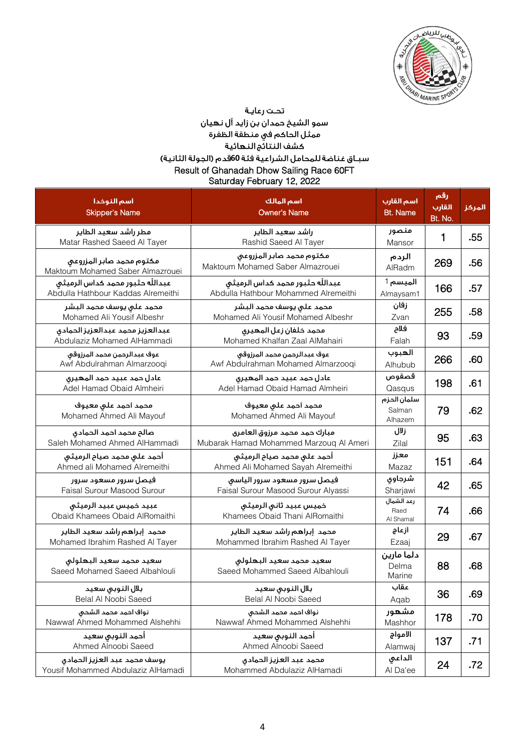

سمو الشيخ حمدان بن زايد آل نهيان ممثل الحاكم في منطقة الظفرة<br>ممثل الحاكم في منطقة الظفرة<br>كشف النتائج النهائية سبـاق غناضة للمحامل الشراعية فئة 60قدم (الجولة الثانية)

Result of Ghanadah Dhow Sailing Race 60FT Saturday February 12, 2022

| اسم النوخدا<br><b>Skipper's Name</b>                                  | اسم المالك<br><b>Owner's Name</b>                                       | اسم القارب<br><b>Bt. Name</b>    | رقم<br>القارب<br>Bt. No. | المركز |
|-----------------------------------------------------------------------|-------------------------------------------------------------------------|----------------------------------|--------------------------|--------|
| مطر راشد سعيد الطاير<br>Matar Rashed Saeed Al Tayer                   | راشد سعيد الطاير<br>Rashid Saeed Al Tayer                               | منصور<br>Mansor                  | 1                        | .55    |
| مكتوم محمد صابر المزروعى<br>Maktoum Mohamed Saber Almazrouei          | مكتوم محمد صابر المزروعى<br>Maktoum Mohamed Saber Almazrouei            | الردم<br>AlRadm                  | 269                      | .56    |
| عبدالله حثبور محمد كداس الرميثي<br>Abdulla Hathbour Kaddas Alremeithi | عبدالله حثبور محمد كداس الرميثى<br>Abdulla Hathbour Mohammed Alremeithi | الميسم 1<br>Almaysam1            | 166                      | .57    |
| محمد على يوسف محمد البشر<br>Mohamed Ali Yousif Albeshr                | محمد على يوسف محمد البشر<br>Mohamed Ali Yousif Mohamed Albeshr          | زفان<br>Zvan                     | 255                      | .58    |
| عبدالعزيز محمد عبدالعزيز الحمادى<br>Abdulaziz Mohamed AlHammadi       | محمد خلفان زعل المهيرى<br>Mohamed Khalfan Zaal AlMahairi                | فلاح<br>Falah                    | 93                       | .59    |
| عوف عبدالرحمن محمد المرزوقى<br>Awf Abdulrahman Almarzooqi             | عوف عبدالرحمن محمد المرزوقى<br>Awf Abdulrahman Mohamed Almarzooqi       | الهبوب<br>Alhubub                | 266                      | .60    |
| عادل حمد عبيد حمد المهيرق<br>Adel Hamad Obaid Almheiri                | عادل حمد عبيد حمد المهيرق<br>Adel Hamad Obaid Hamad Almheiri            | قصقوص<br>Qasqus                  | 198                      | .61    |
| محمد احمد على معيوف<br>Mohamed Ahmed Ali Mayouf                       | محمد احمد على معيوف<br>Mohamed Ahmed Ali Mayouf                         | سلمان الحزم<br>Salman<br>Alhazem | 79                       | .62    |
| صالح محمد احمد الحمادى<br>Saleh Mohamed Ahmed AlHammadi               | مبارك حمد محمد مرزوق العامرى<br>Mubarak Hamad Mohammed Marzoug Al Ameri | زلال<br>Zilal                    | 95                       | .63    |
| أحمد على محمد صيام الرميثي<br>Ahmed ali Mohamed Alremeithi            | أحمد على محمد صياح الرميثي<br>Ahmed Ali Mohamed Sayah Alremeithi        | معزز<br>Mazaz                    | 151                      | .64    |
| فيصل سرور مسعود سرور<br>Faisal Surour Masood Surour                   | فيصل سرور مسعود سرور الياسى<br>Faisal Surour Masood Surour Alyassi      | شرجاوى<br>Sharjawi               | 42                       | .65    |
| عبيد خميس عبيد الرميثى<br>Obaid Khamees Obaid AlRomaithi              | خميس عبيد ثانى الرميثى<br>Khamees Obaid Thani AlRomaithi                | رعد الشمال<br>Raed<br>Al Shamal  | 74                       | .66    |
| محمد إبراهم راشد سعيد الطاير<br>Mohamed Ibrahim Rashed Al Tayer       | محمد إبراهم راشد سعيد الطاير<br>Mohammed Ibrahim Rashed Al Tayer        | ازعاج<br>Ezaaj                   | 29                       | .67    |
| سعيد محمد سعيد البهلولي<br>Saeed Mohamed Saeed Albahlouli             | سعيد محمد سعيد البهلولي<br>Saeed Mohammed Saeed Albahlouli              | دلما مارين<br>Delma<br>Marine    | 88                       | .68    |
| بلال النوبى سعيد<br>Belal Al Noobi Saeed                              | بلال النوبى سعيد<br>Belal Al Noobi Saeed                                | عقاب<br>Aqab                     | 36                       | .69    |
| نواف احمد محمد الشحى<br>Nawwaf Ahmed Mohammed Alshehhi                | نواف احمد محمد الشحى<br>Nawwaf Ahmed Mohammed Alshehhi                  | مشهور<br>Mashhor                 | 178                      | .70    |
| أحمد النوبي سعيد<br>Ahmed Alnoobi Saeed                               | أحمد النوبي سعيد<br>Ahmed Alnoobi Saeed                                 | الامواج<br>Alamwaj               | 137                      | .71    |
| يوسف محمد عبد العزيز الحمادى<br>Yousif Mohammed Abdulaziz AlHamadi    | محمد عبد العزيز الحمادى<br>Mohammed Abdulaziz AlHamadi                  | الداعى<br>Al Da'ee               | 24                       | .72    |